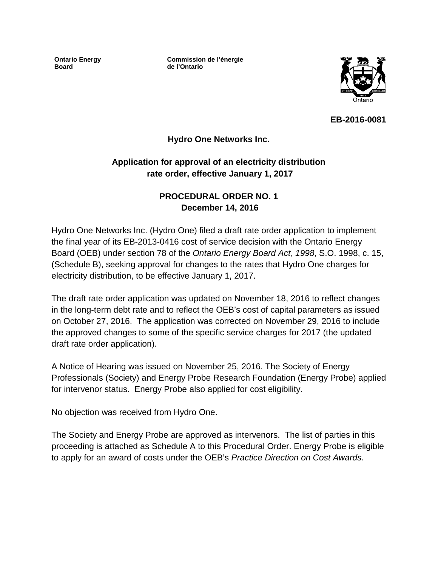**Ontario Energy Board**

**Commission de l'énergie de l'Ontario**



**EB-2016-0081**

### **Hydro One Networks Inc.**

# **Application for approval of an electricity distribution rate order, effective January 1, 2017**

# **PROCEDURAL ORDER NO. 1 December 14, 2016**

Hydro One Networks Inc. (Hydro One) filed a draft rate order application to implement the final year of its EB-2013-0416 cost of service decision with the Ontario Energy Board (OEB) under section 78 of the *Ontario Energy Board Act*, *1998*, S.O. 1998, c. 15, (Schedule B), seeking approval for changes to the rates that Hydro One charges for electricity distribution, to be effective January 1, 2017.

The draft rate order application was updated on November 18, 2016 to reflect changes in the long-term debt rate and to reflect the OEB's cost of capital parameters as issued on October 27, 2016. The application was corrected on November 29, 2016 to include the approved changes to some of the specific service charges for 2017 (the updated draft rate order application).

A Notice of Hearing was issued on November 25, 2016*.* The Society of Energy Professionals (Society) and Energy Probe Research Foundation (Energy Probe) applied for intervenor status. Energy Probe also applied for cost eligibility.

No objection was received from Hydro One.

The Society and Energy Probe are approved as intervenors. The list of parties in this proceeding is attached as Schedule A to this Procedural Order. Energy Probe is eligible to apply for an award of costs under the OEB's *Practice Direction on Cost Awards*.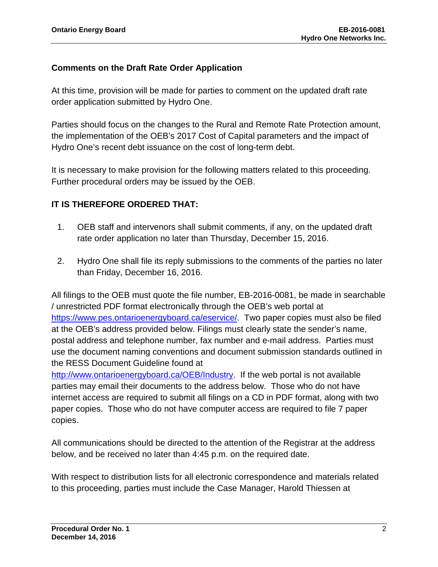# **Comments on the Draft Rate Order Application**

At this time, provision will be made for parties to comment on the updated draft rate order application submitted by Hydro One.

Parties should focus on the changes to the Rural and Remote Rate Protection amount, the implementation of the OEB's 2017 Cost of Capital parameters and the impact of Hydro One's recent debt issuance on the cost of long-term debt.

It is necessary to make provision for the following matters related to this proceeding. Further procedural orders may be issued by the OEB.

# **IT IS THEREFORE ORDERED THAT:**

- 1. OEB staff and intervenors shall submit comments, if any, on the updated draft rate order application no later than Thursday, December 15, 2016.
- 2. Hydro One shall file its reply submissions to the comments of the parties no later than Friday, December 16, 2016.

All filings to the OEB must quote the file number, EB-2016-0081, be made in searchable / unrestricted PDF format electronically through the OEB's web portal at [https://www.pes.ontarioenergyboard.ca/eservice/.](https://www.pes.ontarioenergyboard.ca/eservice/) Two paper copies must also be filed at the OEB's address provided below. Filings must clearly state the sender's name, postal address and telephone number, fax number and e-mail address. Parties must use the document naming conventions and document submission standards outlined in the RESS Document Guideline found at

[http://www.ontarioenergyboard.ca/OEB/Industry.](http://www.ontarioenergyboard.ca/OEB/Industry) If the web portal is not available parties may email their documents to the address below. Those who do not have internet access are required to submit all filings on a CD in PDF format, along with two paper copies. Those who do not have computer access are required to file 7 paper copies.

All communications should be directed to the attention of the Registrar at the address below, and be received no later than 4:45 p.m. on the required date.

With respect to distribution lists for all electronic correspondence and materials related to this proceeding, parties must include the Case Manager, Harold Thiessen at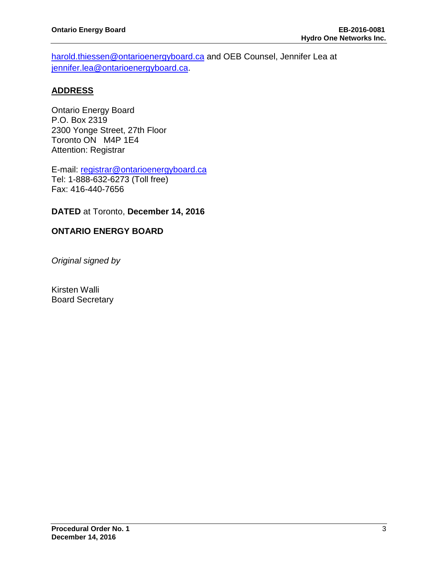[harold.thiessen@ontarioenergyboard.ca](mailto:harold.thiessen@ontarioenergyboard.ca) and OEB Counsel, Jennifer Lea at [jennifer.lea@ontarioenergyboard.ca.](mailto:jennifer.lea@ontarioenergyboard.ca)

#### **ADDRESS**

Ontario Energy Board P.O. Box 2319 2300 Yonge Street, 27th Floor Toronto ON M4P 1E4 Attention: Registrar

E-mail: [registrar@ontarioenergyboard.ca](mailto:registrar@ontarioenergyboard.ca) Tel: 1-888-632-6273 (Toll free) Fax: 416-440-7656

#### **DATED** at Toronto, **December 14, 2016**

#### **ONTARIO ENERGY BOARD**

*Original signed by*

Kirsten Walli Board Secretary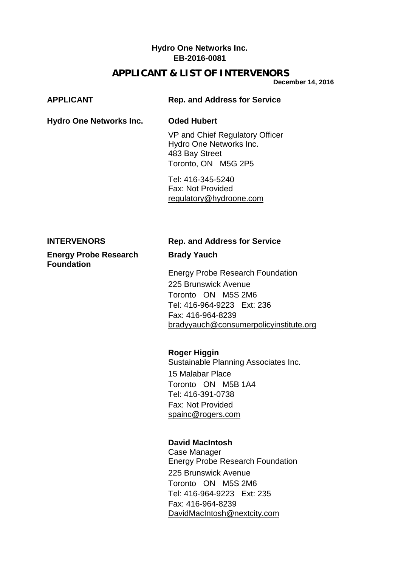# **Hydro One Networks Inc. EB-2016-0081**

# **APPLICANT & LIST OF INTERVENORS**

**December 14, 2016**

| <b>APPLICANT</b>                                  | <b>Rep. and Address for Service</b>                                                                                                                                                                                                                                                                                                                        |
|---------------------------------------------------|------------------------------------------------------------------------------------------------------------------------------------------------------------------------------------------------------------------------------------------------------------------------------------------------------------------------------------------------------------|
| <b>Hydro One Networks Inc.</b>                    | <b>Oded Hubert</b>                                                                                                                                                                                                                                                                                                                                         |
|                                                   | VP and Chief Regulatory Officer<br>Hydro One Networks Inc.<br>483 Bay Street<br>Toronto, ON M5G 2P5                                                                                                                                                                                                                                                        |
|                                                   | Tel: 416-345-5240<br><b>Fax: Not Provided</b><br>regulatory@hydroone.com                                                                                                                                                                                                                                                                                   |
| <b>INTERVENORS</b>                                | <b>Rep. and Address for Service</b>                                                                                                                                                                                                                                                                                                                        |
| <b>Energy Probe Research</b><br><b>Foundation</b> | <b>Brady Yauch</b>                                                                                                                                                                                                                                                                                                                                         |
|                                                   | <b>Energy Probe Research Foundation</b><br>225 Brunswick Avenue<br>Toronto ON M5S 2M6<br>Tel: 416-964-9223 Ext: 236<br>Fax: 416-964-8239<br>bradyyauch@consumerpolicyinstitute.org<br><b>Roger Higgin</b><br>Sustainable Planning Associates Inc.<br>15 Malabar Place<br>Toronto ON M5B 1A4<br>Tel: 416-391-0738<br>Fax: Not Provided<br>spainc@rogers.com |
|                                                   | <b>David MacIntosh</b><br>Case Manager<br><b>Energy Probe Research Foundation</b><br>225 Brunswick Avenue<br>Toronto ON M5S 2M6<br>Tel: 416-964-9223 Ext: 235<br>Fax: 416-964-8239<br>DavidMacIntosh@nextcity.com                                                                                                                                          |